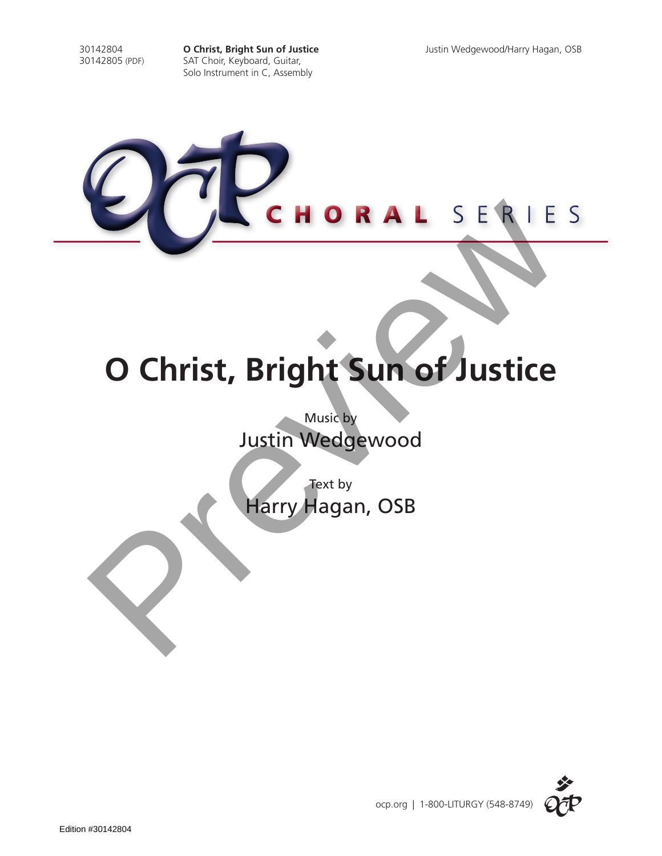30142804 **O Christ, Bright Sun of Justice** Justin Wedgewood/Harry Hagan, OSB SAT Choir, Keyboard, Guitar, Solo Instrument in C, Assembly



# **O Christ, Bright Sun of Justice**

Music by Justin Wedgewood

Text by

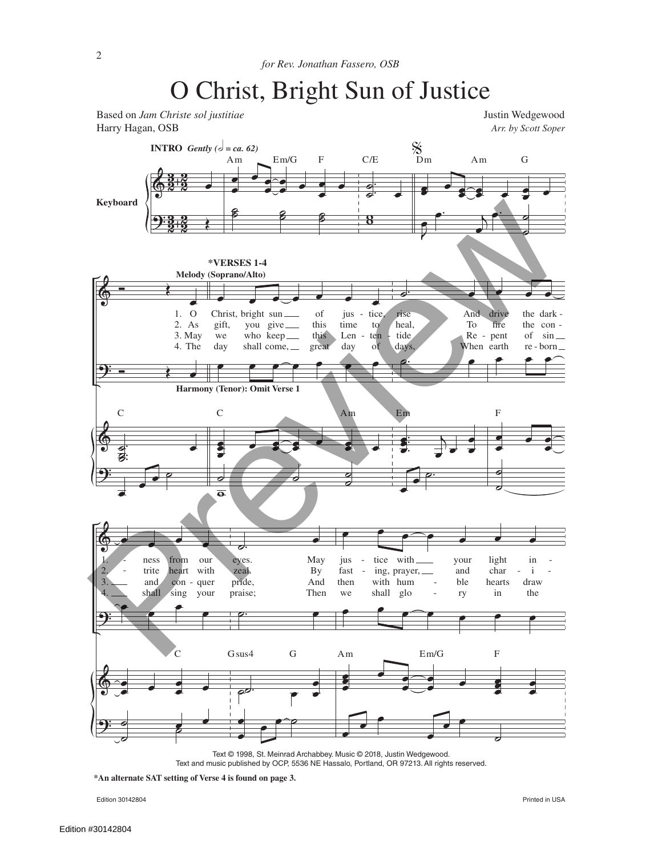

Text © 1998, St. Meinrad Archabbey. Music © 2018, Justin Wedgewood. Text and music published by OCP, 5536 NE Hassalo, Portland, OR 97213. All rights reserved.

**\*An alternate SAT setting of Verse 4 is found on page 3.**

Edition 30142804 Printed in USA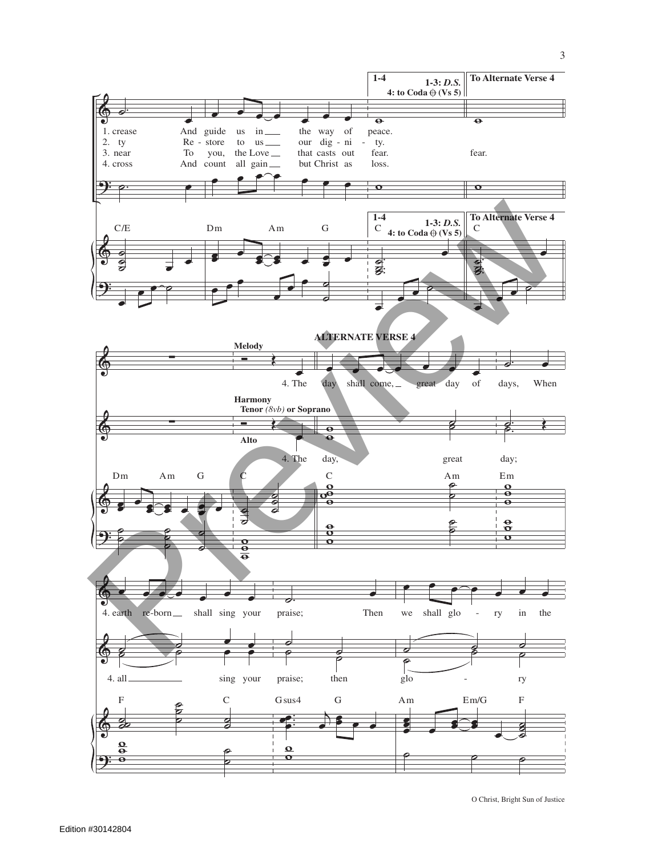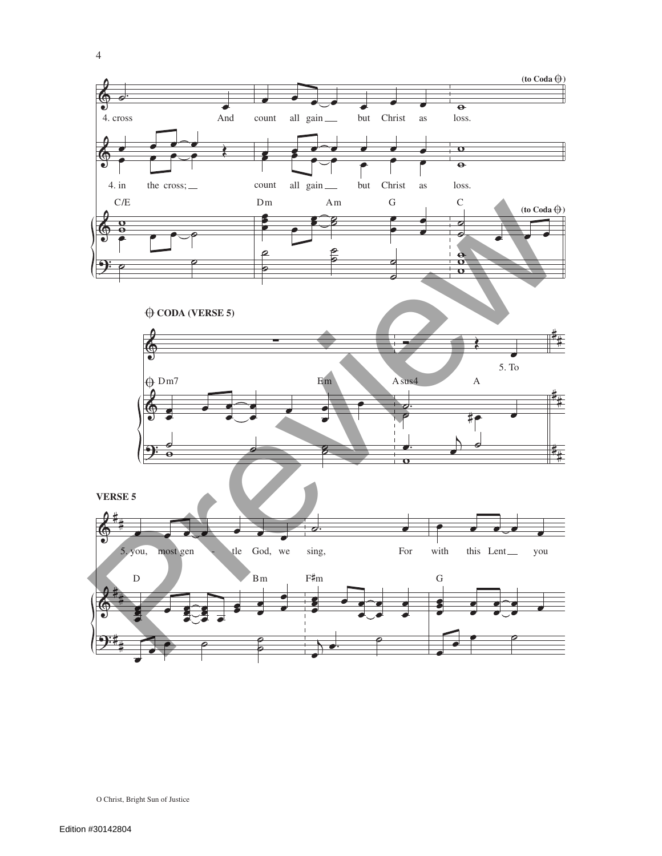

O Christ, Bright Sun of Justice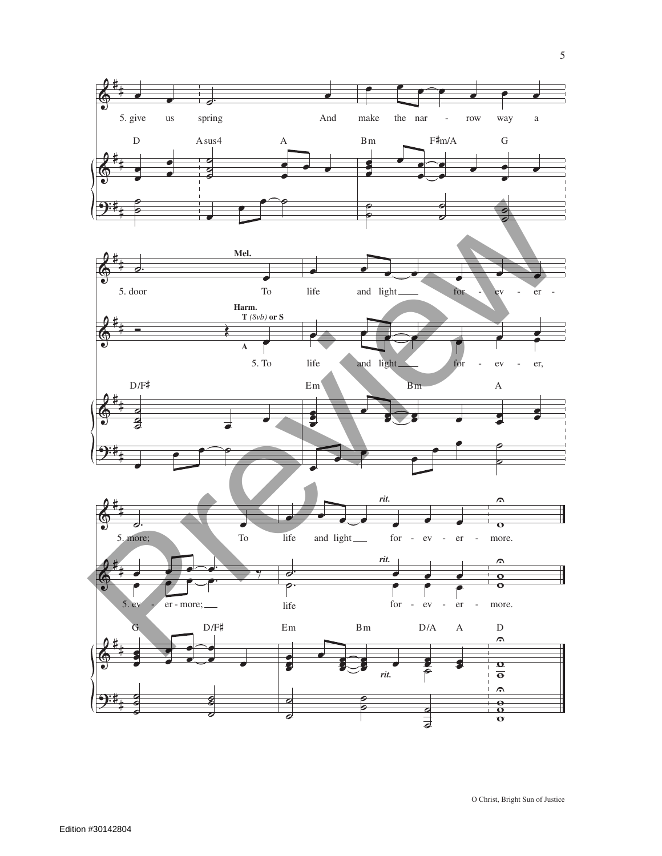

5

O Christ, Bright Sun of Justice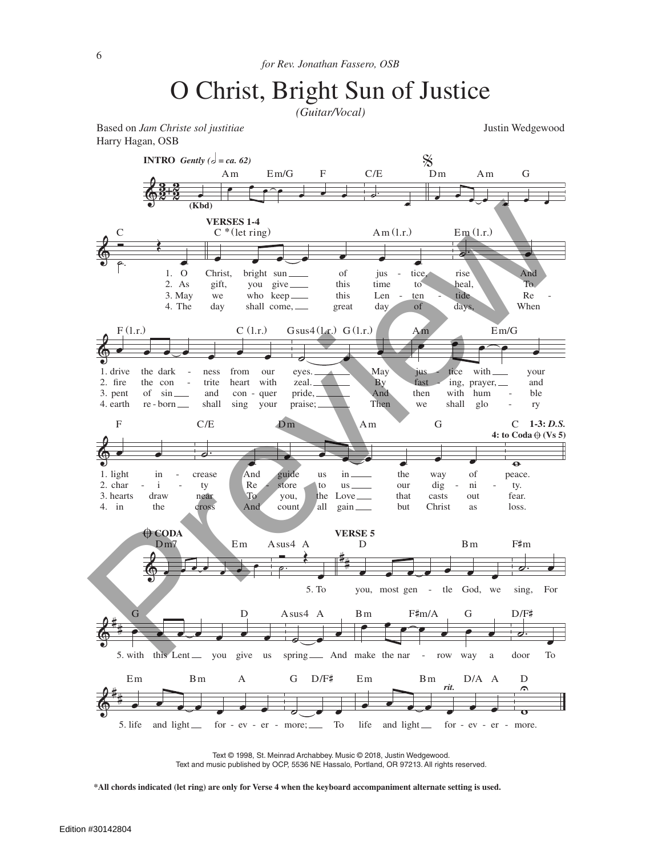*(Guitar/Vocal)*

Based on *Jam Christe sol justitiae* and *Justin Wedgewood* Justin Wedgewood Harry Hagan, OSB

 $\breve \Phi$  $\frac{3}{2}$   $\frac{2}{2}$  $\frac{2}{2}$  . **INTRO** *Gently*  $(d = ca, 62)$ **(Kbd)**  $\cdot$   $\circ$   $\cdot$   $\cdot$   $\cdot$ Am Em/G F  $C^*$ (let ring)  $Am(1.r.)$  $\overline{\phantom{a}}$ C/E  $\frac{1}{2}$  $\sum_{m=-\infty}^{\infty}$  Am G  $\& \&$ œ O As 3. May 4. The 2. 1.  $\overline{\epsilon}$  .  $\mathsf{C}$ œ œ œ œ œ œ œ gift, we Christ, day you who keep bright sun shall come, give this this of great time Len jus day to ten tice of **VERSES 1-4 。** heal, tide rise days To  $Re$ And When  $Em(1.r.)$  $\circ$   $\bullet$   $\bullet$   $\bullet$   $\bullet$   $\bullet$   $\bullet$   $\bullet$ 2. fire 3. pent 1. drive 4. earth the con of the dark re - born sin trite and ness shall heart con from sing with quer our your  $F(1.r.)$  C (1.r.) **<u></u>** zeal. pride, eyes. praise; **By** And May Then Gsus $4(l_1)$  G $(l_2)$  $\epsilon$ ius fast then we ing, with tice shall prayer, hum with glo and ble your ry Am Em/G  $\phi$   $\bullet$ 2.  $char -$ 3. hearts 1. light in 4.  $\mathbf{i}$ draw  $in$ the F  $\begin{array}{c|c}\n\hline\n\text{...} & \text{...} \\
\text{.} & \text{...} \\
\hline\n\text{...} & \text{...} \\
\hline\n\text{...} & \text{...} \\
\hline\n\text{...} & \text{...} \\
\hline\n\text{...} & \text{...} \\
\hline\n\text{...} & \text{...} \\
\hline\n\text{...} & \text{...} \\
\hline\n\text{...} & \text{...} \\
\hline\n\text{...} & \text{...} \\
\hline\n\text{...} & \text{...} \\
\hline\n\text{...} & \text{...} \\
\hline\n\text{...} & \text{...} \\
\hline\n\text$ ty near cross  $Re$ To And And C/E example a contract the way of store you, count to the us all us Love in gain our that the but dig casts way Christ ni out of as Dm Am G  $\overline{\bullet}$ ty. fear. peace. loss. C **1-3:** *D.S.* **4:** to  $\text{Coda} \oplus (\text{Vs } 5)$  $\phi$ ,  $\frac{1}{2}$ ,  $\frac{1}{2}$ ,  $\frac{1}{2}$ ,  $\frac{1}{2}$ ,  $\frac{1}{2}$  $\overline{a}$   $\overline{a}$   $\overline{b}$   $\overline{c}$   $\overline{c}$   $\overline{c}$   $\overline{c}$   $\overline{d}$   $\overline{d}$ Dm7 Em fi **CODA**  $\overrightarrow{=}$ œ 5. To ˙ . Asus4 A you, most gen - tle God, we D Bm **VERSE 5** ˙. œ sing, For F#m  $\frac{2}{9}$ # e c e e e e 5. with this Lent \_\_\_ you give us G D ˙ œ œ spring \_\_ And make the nar - row way a Asus4 A  $\overrightarrow{e}$ Bm F#m/A G door To D/F#  $\&$  $\frac{4}{\pi}$  external light for - ev - er - more; To Em Bm A G D/F#  $life$  and  $light$ Em Bm D/A A *rit.* w U D for - ev - er - more. CREAN CREAN CREAN CREATED A mind on a contract of the state of the case of the case of the case of the case of the case of the case of the case of the case of the case of the case of the case of the case of the case of th

> Text © 1998, St. Meinrad Archabbey. Music © 2018, Justin Wedgewood. Text and music published by OCP, 5536 NE Hassalo, Portland, OR 97213. All rights reserved.

**\*All chords indicated (let ring) are only for Verse 4 when the keyboard accompaniment alternate setting is used.**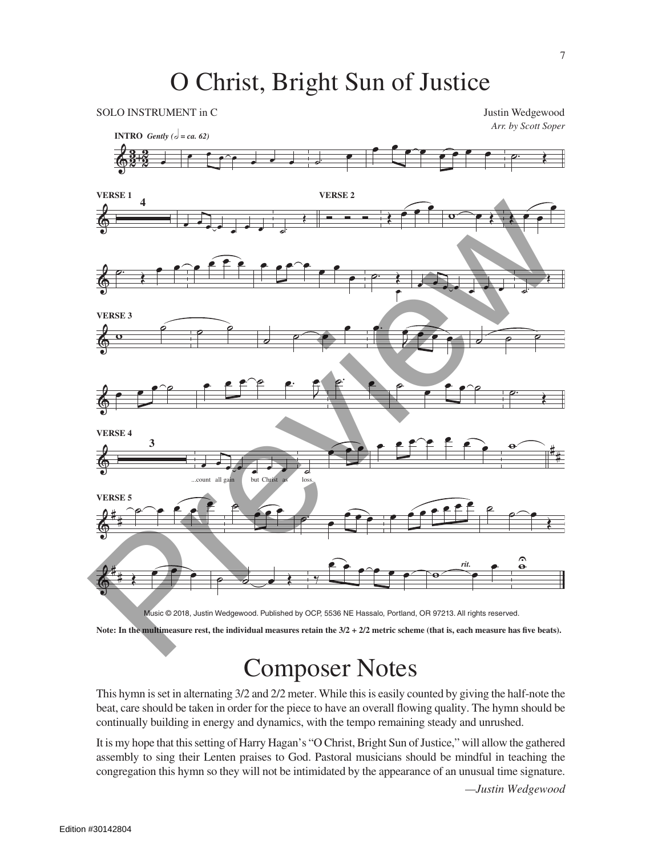

**Note: In the multimeasure rest, the individual measures retain the 3/2 + 2/2 metric scheme (that is, each measure has five beats).**

# Composer Notes

This hymn is set in alternating 3/2 and 2/2 meter. While this is easily counted by giving the half-note the beat, care should be taken in order for the piece to have an overall flowing quality. The hymn should be continually building in energy and dynamics, with the tempo remaining steady and unrushed.

It is my hope that this setting of Harry Hagan's "O Christ, Bright Sun of Justice," will allow the gathered assembly to sing their Lenten praises to God. Pastoral musicians should be mindful in teaching the congregation this hymn so they will not be intimidated by the appearance of an unusual time signature.

*—Justin Wedgewood*